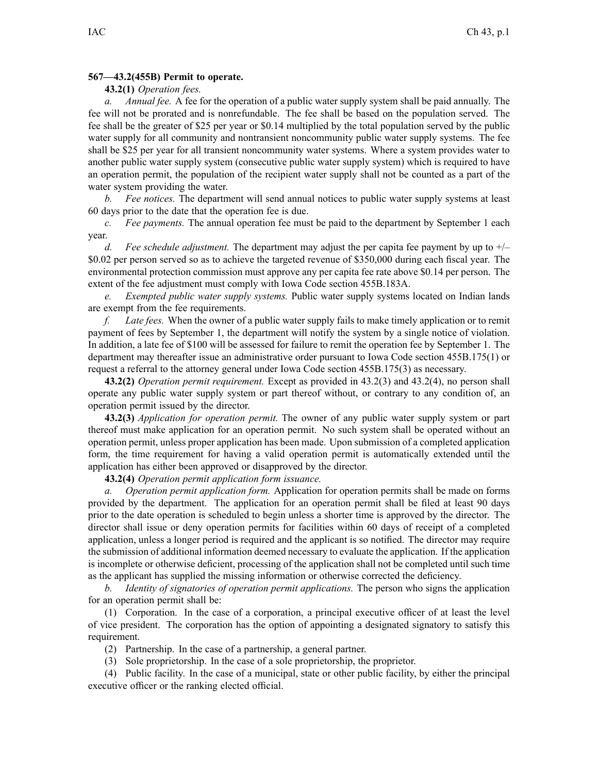## **567—43.2(455B) Permit to operate.**

## **43.2(1)** *Operation fees.*

*a. Annual fee.* A fee for the operation of <sup>a</sup> public water supply system shall be paid annually. The fee will not be prorated and is nonrefundable. The fee shall be based on the population served. The fee shall be the greater of \$25 per year or \$0.14 multiplied by the total population served by the public water supply for all community and nontransient noncommunity public water supply systems. The fee shall be \$25 per year for all transient noncommunity water systems. Where <sup>a</sup> system provides water to another public water supply system (consecutive public water supply system) which is required to have an operation permit, the population of the recipient water supply shall not be counted as <sup>a</sup> par<sup>t</sup> of the water system providing the water.

*b. Fee notices.* The department will send annual notices to public water supply systems at least 60 days prior to the date that the operation fee is due.

*c. Fee payments.* The annual operation fee must be paid to the department by September 1 each year.

*d. Fee schedule adjustment.* The department may adjust the per capita fee paymen<sup>t</sup> by up to +/– \$0.02 per person served so as to achieve the targeted revenue of \$350,000 during each fiscal year. The environmental protection commission must approve any per capita fee rate above \$0.14 per person. The extent of the fee adjustment must comply with Iowa Code section 455B.183A.

*e. Exempted public water supply systems.* Public water supply systems located on Indian lands are exemp<sup>t</sup> from the fee requirements.

*f. Late fees.* When the owner of <sup>a</sup> public water supply fails to make timely application or to remit paymen<sup>t</sup> of fees by September 1, the department will notify the system by <sup>a</sup> single notice of violation. In addition, <sup>a</sup> late fee of \$100 will be assessed for failure to remit the operation fee by September 1. The department may thereafter issue an administrative order pursuan<sup>t</sup> to Iowa Code section 455B.175(1) or reques<sup>t</sup> <sup>a</sup> referral to the attorney general under Iowa Code section 455B.175(3) as necessary.

**43.2(2)** *Operation permit requirement.* Except as provided in 43.2(3) and 43.2(4), no person shall operate any public water supply system or par<sup>t</sup> thereof without, or contrary to any condition of, an operation permit issued by the director.

**43.2(3)** *Application for operation permit.* The owner of any public water supply system or par<sup>t</sup> thereof must make application for an operation permit. No such system shall be operated without an operation permit, unless proper application has been made. Upon submission of <sup>a</sup> completed application form, the time requirement for having <sup>a</sup> valid operation permit is automatically extended until the application has either been approved or disapproved by the director.

**43.2(4)** *Operation permit application form issuance.*

*a. Operation permit application form.* Application for operation permits shall be made on forms provided by the department. The application for an operation permit shall be filed at least 90 days prior to the date operation is scheduled to begin unless <sup>a</sup> shorter time is approved by the director. The director shall issue or deny operation permits for facilities within 60 days of receipt of <sup>a</sup> completed application, unless <sup>a</sup> longer period is required and the applicant is so notified. The director may require the submission of additional information deemed necessary to evaluate the application. If the application is incomplete or otherwise deficient, processing of the application shall not be completed until such time as the applicant has supplied the missing information or otherwise corrected the deficiency.

*b. Identity of signatories of operation permit applications.* The person who signs the application for an operation permit shall be:

(1) Corporation. In the case of <sup>a</sup> corporation, <sup>a</sup> principal executive officer of at least the level of vice president. The corporation has the option of appointing <sup>a</sup> designated signatory to satisfy this requirement.

(2) Partnership. In the case of <sup>a</sup> partnership, <sup>a</sup> general partner.

(3) Sole proprietorship. In the case of <sup>a</sup> sole proprietorship, the proprietor.

(4) Public facility. In the case of <sup>a</sup> municipal, state or other public facility, by either the principal executive officer or the ranking elected official.